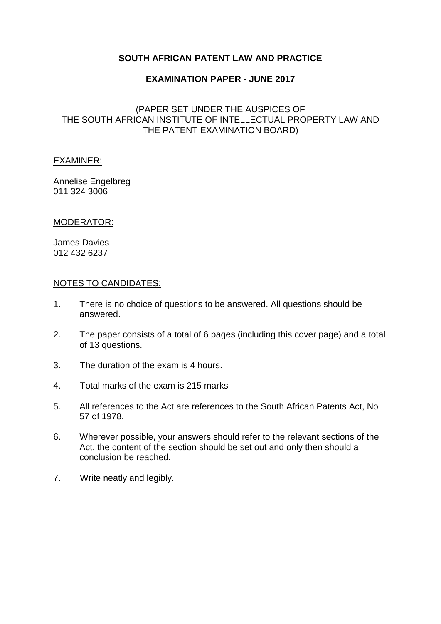# **SOUTH AFRICAN PATENT LAW AND PRACTICE**

#### **EXAMINATION PAPER - JUNE 2017**

# (PAPER SET UNDER THE AUSPICES OF THE SOUTH AFRICAN INSTITUTE OF INTELLECTUAL PROPERTY LAW AND THE PATENT EXAMINATION BOARD)

#### EXAMINER:

Annelise Engelbreg 011 324 3006

#### MODERATOR:

James Davies 012 432 6237

#### NOTES TO CANDIDATES:

- 1. There is no choice of questions to be answered. All questions should be answered.
- 2. The paper consists of a total of 6 pages (including this cover page) and a total of 13 questions.
- 3. The duration of the exam is 4 hours.
- 4. Total marks of the exam is 215 marks
- 5. All references to the Act are references to the South African Patents Act, No 57 of 1978.
- 6. Wherever possible, your answers should refer to the relevant sections of the Act, the content of the section should be set out and only then should a conclusion be reached.
- 7. Write neatly and legibly.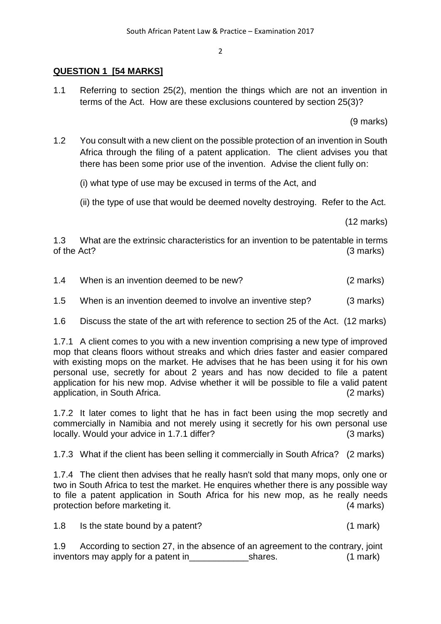# **QUESTION 1 [54 MARKS]**

1.1 Referring to section 25(2), mention the things which are not an invention in terms of the Act. How are these exclusions countered by section 25(3)?

(9 marks)

1.2 You consult with a new client on the possible protection of an invention in South Africa through the filing of a patent application. The client advises you that there has been some prior use of the invention. Advise the client fully on:

(i) what type of use may be excused in terms of the Act, and

(ii) the type of use that would be deemed novelty destroying. Refer to the Act.

(12 marks)

1.3 What are the extrinsic characteristics for an invention to be patentable in terms of the Act? (3 marks)

| 1.4 | When is an invention deemed to be new? | $(2 \text{ marks})$ |
|-----|----------------------------------------|---------------------|
|-----|----------------------------------------|---------------------|

1.5 When is an invention deemed to involve an inventive step? (3 marks)

1.6 Discuss the state of the art with reference to section 25 of the Act. (12 marks)

1.7.1 A client comes to you with a new invention comprising a new type of improved mop that cleans floors without streaks and which dries faster and easier compared with existing mops on the market. He advises that he has been using it for his own personal use, secretly for about 2 years and has now decided to file a patent application for his new mop. Advise whether it will be possible to file a valid patent application, in South Africa. (2 marks)

1.7.2 It later comes to light that he has in fact been using the mop secretly and commercially in Namibia and not merely using it secretly for his own personal use locally. Would your advice in 1.7.1 differ? (3 marks)

1.7.3 What if the client has been selling it commercially in South Africa? (2 marks)

1.7.4 The client then advises that he really hasn't sold that many mops, only one or two in South Africa to test the market. He enquires whether there is any possible way to file a patent application in South Africa for his new mop, as he really needs protection before marketing it. (4 marks)

1.8 Is the state bound by a patent? (1 mark)

1.9 According to section 27, in the absence of an agreement to the contrary, joint inventors may apply for a patent in The Shares. (1 mark)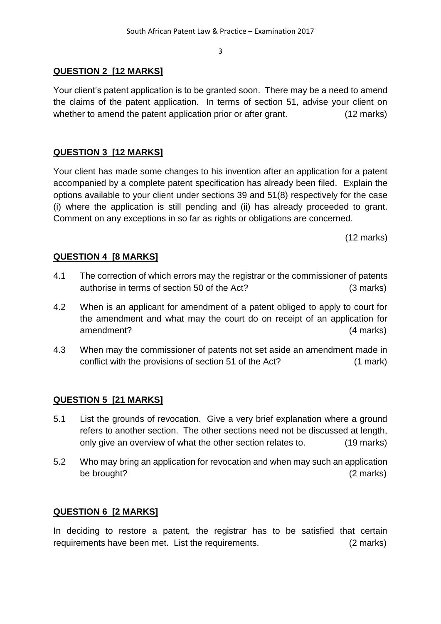# **QUESTION 2 [12 MARKS]**

Your client's patent application is to be granted soon. There may be a need to amend the claims of the patent application. In terms of section 51, advise your client on whether to amend the patent application prior or after grant. (12 marks)

# **QUESTION 3 [12 MARKS]**

Your client has made some changes to his invention after an application for a patent accompanied by a complete patent specification has already been filed. Explain the options available to your client under sections 39 and 51(8) respectively for the case (i) where the application is still pending and (ii) has already proceeded to grant. Comment on any exceptions in so far as rights or obligations are concerned.

(12 marks)

# **QUESTION 4 [8 MARKS]**

- 4.1 The correction of which errors may the registrar or the commissioner of patents authorise in terms of section 50 of the Act? (3 marks)
- 4.2 When is an applicant for amendment of a patent obliged to apply to court for the amendment and what may the court do on receipt of an application for amendment? (4 marks)
- 4.3 When may the commissioner of patents not set aside an amendment made in conflict with the provisions of section 51 of the Act? (1 mark)

# **QUESTION 5 [21 MARKS]**

- 5.1 List the grounds of revocation. Give a very brief explanation where a ground refers to another section. The other sections need not be discussed at length, only give an overview of what the other section relates to. (19 marks)
- 5.2 Who may bring an application for revocation and when may such an application be brought? (2 marks)

# **QUESTION 6 [2 MARKS]**

In deciding to restore a patent, the registrar has to be satisfied that certain requirements have been met. List the requirements. (2 marks)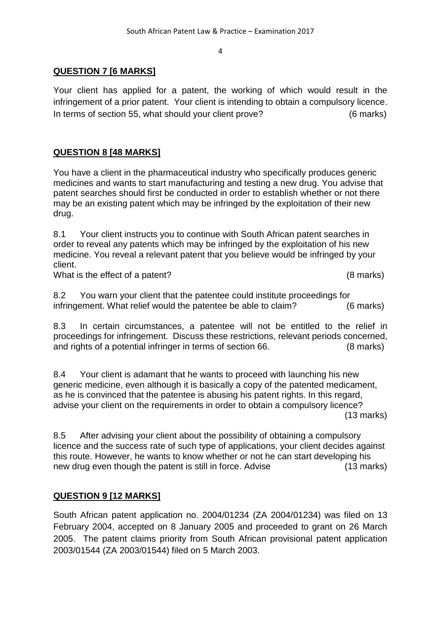# **QUESTION 7 [6 MARKS]**

Your client has applied for a patent, the working of which would result in the infringement of a prior patent. Your client is intending to obtain a compulsory licence. In terms of section 55, what should your client prove? (6 marks)

# **QUESTION 8 [48 MARKS]**

You have a client in the pharmaceutical industry who specifically produces generic medicines and wants to start manufacturing and testing a new drug. You advise that patent searches should first be conducted in order to establish whether or not there may be an existing patent which may be infringed by the exploitation of their new drug.

8.1 Your client instructs you to continue with South African patent searches in order to reveal any patents which may be infringed by the exploitation of his new medicine. You reveal a relevant patent that you believe would be infringed by your client.

What is the effect of a patent? (8 marks)

8.2 You warn your client that the patentee could institute proceedings for infringement. What relief would the patentee be able to claim? (6 marks)

8.3 In certain circumstances, a patentee will not be entitled to the relief in proceedings for infringement. Discuss these restrictions, relevant periods concerned, and rights of a potential infringer in terms of section 66. (8 marks)

8.4 Your client is adamant that he wants to proceed with launching his new generic medicine, even although it is basically a copy of the patented medicament, as he is convinced that the patentee is abusing his patent rights. In this regard, advise your client on the requirements in order to obtain a compulsory licence? (13 marks)

8.5 After advising your client about the possibility of obtaining a compulsory licence and the success rate of such type of applications, your client decides against this route. However, he wants to know whether or not he can start developing his new drug even though the patent is still in force. Advise (13 marks)

# **QUESTION 9 [12 MARKS]**

South African patent application no. 2004/01234 (ZA 2004/01234) was filed on 13 February 2004, accepted on 8 January 2005 and proceeded to grant on 26 March 2005. The patent claims priority from South African provisional patent application 2003/01544 (ZA 2003/01544) filed on 5 March 2003.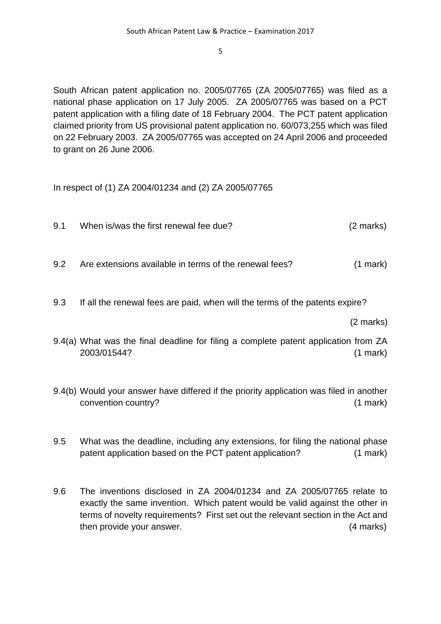South African patent application no. 2005/07765 (ZA 2005/07765) was filed as a national phase application on 17 July 2005. ZA 2005/07765 was based on a PCT patent application with a filing date of 18 February 2004. The PCT patent application claimed priority from US provisional patent application no. 60/073,255 which was filed on 22 February 2003. ZA 2005/07765 was accepted on 24 April 2006 and proceeded to grant on 26 June 2006.

In respect of (1) ZA 2004/01234 and (2) ZA 2005/07765

- 9.1 When is/was the first renewal fee due? (2 marks)
- 9.2 Are extensions available in terms of the renewal fees? (1 mark)
- 9.3 If all the renewal fees are paid, when will the terms of the patents expire?

(2 marks)

- 9.4(a) What was the final deadline for filing a complete patent application from ZA 2003/01544? (1 mark)
- 9.4(b) Would your answer have differed if the priority application was filed in another convention country? (1 mark)
- 9.5 What was the deadline, including any extensions, for filing the national phase patent application based on the PCT patent application? (1 mark)
- 9.6 The inventions disclosed in ZA 2004/01234 and ZA 2005/07765 relate to exactly the same invention. Which patent would be valid against the other in terms of novelty requirements? First set out the relevant section in the Act and then provide your answer. (4 marks)